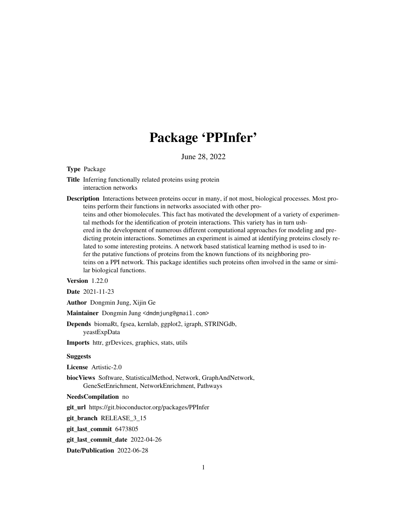## Package 'PPInfer'

June 28, 2022

Type Package

Title Inferring functionally related proteins using protein interaction networks

Description Interactions between proteins occur in many, if not most, biological processes. Most proteins perform their functions in networks associated with other proteins and other biomolecules. This fact has motivated the development of a variety of experimental methods for the identification of protein interactions. This variety has in turn ushered in the development of numerous different computational approaches for modeling and predicting protein interactions. Sometimes an experiment is aimed at identifying proteins closely related to some interesting proteins. A network based statistical learning method is used to infer the putative functions of proteins from the known functions of its neighboring proteins on a PPI network. This package identifies such proteins often involved in the same or similar biological functions.

Version 1.22.0

Date 2021-11-23

Author Dongmin Jung, Xijin Ge

Maintainer Dongmin Jung <dmdmjung@gmail.com>

Depends biomaRt, fgsea, kernlab, ggplot2, igraph, STRINGdb, yeastExpData

Imports httr, grDevices, graphics, stats, utils

#### **Suggests**

License Artistic-2.0

biocViews Software, StatisticalMethod, Network, GraphAndNetwork, GeneSetEnrichment, NetworkEnrichment, Pathways

#### NeedsCompilation no

git\_url https://git.bioconductor.org/packages/PPInfer

git branch RELEASE 3 15

git\_last\_commit 6473805

git\_last\_commit\_date 2022-04-26

Date/Publication 2022-06-28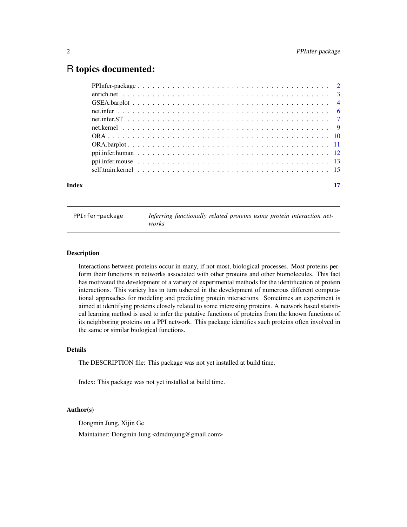### <span id="page-1-0"></span>R topics documented:

| Index |  | 17 |
|-------|--|----|
|       |  |    |
|       |  |    |
|       |  |    |
|       |  |    |
|       |  |    |
|       |  |    |
|       |  |    |
|       |  |    |
|       |  |    |
|       |  |    |
|       |  |    |

PPInfer-package *Inferring functionally related proteins using protein interaction networks*

#### Description

Interactions between proteins occur in many, if not most, biological processes. Most proteins perform their functions in networks associated with other proteins and other biomolecules. This fact has motivated the development of a variety of experimental methods for the identification of protein interactions. This variety has in turn ushered in the development of numerous different computational approaches for modeling and predicting protein interactions. Sometimes an experiment is aimed at identifying proteins closely related to some interesting proteins. A network based statistical learning method is used to infer the putative functions of proteins from the known functions of its neighboring proteins on a PPI network. This package identifies such proteins often involved in the same or similar biological functions.

#### Details

The DESCRIPTION file: This package was not yet installed at build time.

Index: This package was not yet installed at build time.

#### Author(s)

Dongmin Jung, Xijin Ge

Maintainer: Dongmin Jung <dmdmjung@gmail.com>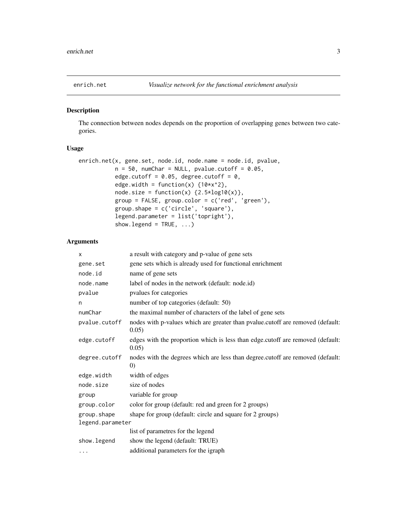<span id="page-2-0"></span>

The connection between nodes depends on the proportion of overlapping genes between two categories.

#### Usage

```
enrich.net(x, gene.set, node.id, node.name = node.id, pvalue,
           n = 50, numChar = NULL, pvalue.cutoff = 0.05,
           edge.cutoff = 0.05, degree.cutoff = 0,
           edge.width = function(x) {10*x^2},node.size = function(x) {2.5 * log10(x)},
           group = FALSE, group.color = c('red', 'green'),
           group.shape = c('circle', 'square'),
           legend.parameter = list('topright'),
           show.legend = TRUE, ...)
```
#### Arguments

| X                | a result with category and p-value of gene sets                                                     |
|------------------|-----------------------------------------------------------------------------------------------------|
| gene.set         | gene sets which is already used for functional enrichment                                           |
| node.id          | name of gene sets                                                                                   |
| node.name        | label of nodes in the network (default: node.id)                                                    |
| pvalue           | pvalues for categories                                                                              |
| n                | number of top categories (default: 50)                                                              |
| numChar          | the maximal number of characters of the label of gene sets                                          |
| pvalue.cutoff    | nodes with p-values which are greater than pvalue.cutoff are removed (default:<br>0.05)             |
| edge.cutoff      | edges with the proportion which is less than edge.cutoff are removed (default:<br>0.05)             |
| degree.cutoff    | nodes with the degrees which are less than degree.cutoff are removed (default:<br>$\left( 0\right)$ |
| edge.width       | width of edges                                                                                      |
| node.size        | size of nodes                                                                                       |
| group            | variable for group                                                                                  |
| group.color      | color for group (default: red and green for 2 groups)                                               |
| group.shape      | shape for group (default: circle and square for 2 groups)                                           |
| legend.parameter |                                                                                                     |
|                  | list of parametres for the legend                                                                   |
| show.legend      | show the legend (default: TRUE)                                                                     |
| $\cdots$         | additional parameters for the igraph                                                                |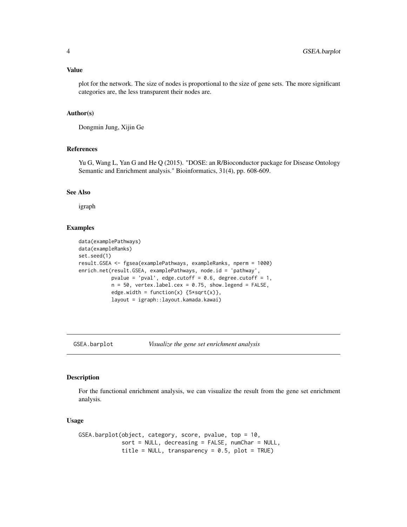#### <span id="page-3-0"></span>Value

plot for the network. The size of nodes is proportional to the size of gene sets. The more significant categories are, the less transparent their nodes are.

#### Author(s)

Dongmin Jung, Xijin Ge

#### References

Yu G, Wang L, Yan G and He Q (2015). "DOSE: an R/Bioconductor package for Disease Ontology Semantic and Enrichment analysis." Bioinformatics, 31(4), pp. 608-609.

#### See Also

igraph

#### Examples

```
data(examplePathways)
data(exampleRanks)
set.seed(1)
result.GSEA <- fgsea(examplePathways, exampleRanks, nperm = 1000)
enrich.net(result.GSEA, examplePathways, node.id = 'pathway',
           pvalue = 'pval', edge.cutoff = 0.6, degree.cutoff = 1,
           n = 50, vertex.label.cex = 0.75, show.legend = FALSE,
           edge.width = function(x) {5 \times \sqrt{(x)}},
           layout = igraph::layout.kamada.kawai)
```
GSEA.barplot *Visualize the gene set enrichment analysis*

#### Description

For the functional enrichment analysis, we can visualize the result from the gene set enrichment analysis.

#### Usage

```
GSEA.barplot(object, category, score, pvalue, top = 10,
             sort = NULL, decreasing = FALSE, numChar = NULL,
             title = NULL, transparency = 0.5, plot = TRUE)
```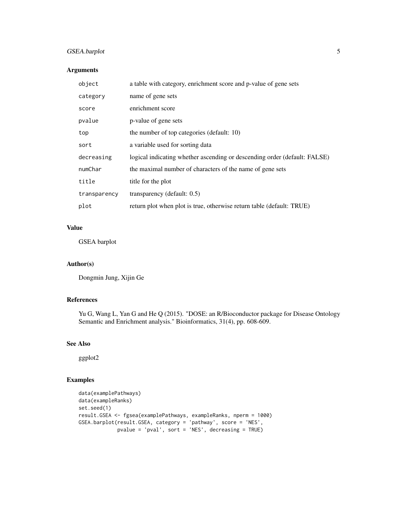#### GSEA.barplot 5

#### Arguments

| object       | a table with category, enrichment score and p-value of gene sets          |
|--------------|---------------------------------------------------------------------------|
| category     | name of gene sets                                                         |
| score        | enrichment score                                                          |
| pvalue       | p-value of gene sets                                                      |
| top          | the number of top categories (default: 10)                                |
| sort         | a variable used for sorting data                                          |
| decreasing   | logical indicating whether ascending or descending order (default: FALSE) |
| numChar      | the maximal number of characters of the name of gene sets                 |
| title        | title for the plot                                                        |
| transparency | transparency (default: $0.5$ )                                            |
| plot         | return plot when plot is true, otherwise return table (default: TRUE)     |

#### Value

GSEA barplot

#### Author(s)

Dongmin Jung, Xijin Ge

#### References

Yu G, Wang L, Yan G and He Q (2015). "DOSE: an R/Bioconductor package for Disease Ontology Semantic and Enrichment analysis." Bioinformatics, 31(4), pp. 608-609.

#### See Also

ggplot2

```
data(examplePathways)
data(exampleRanks)
set.seed(1)
result.GSEA <- fgsea(examplePathways, exampleRanks, nperm = 1000)
GSEA.barplot(result.GSEA, category = 'pathway', score = 'NES',
            pvalue = 'pval', sort = 'NES', decreasing = TRUE)
```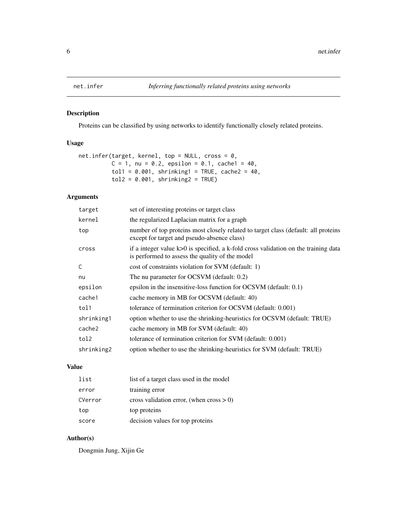<span id="page-5-0"></span>

Proteins can be classified by using networks to identify functionally closely related proteins.

#### Usage

```
net.infer(target, kernel, top = NULL, cross = 0,
          C = 1, nu = 0.2, epsilon = 0.1, cache1 = 40,
          tol1 = 0.001, shrinking1 = TRUE, cache2 = 40,
          tol2 = 0.001, shrinking2 = TRUE)
```
#### Arguments

| target     | set of interesting proteins or target class                                                                                                |
|------------|--------------------------------------------------------------------------------------------------------------------------------------------|
| kernel     | the regularized Laplacian matrix for a graph                                                                                               |
| top        | number of top proteins most closely related to target class (default: all proteins<br>except for target and pseudo-absence class)          |
| cross      | if a integer value $k > 0$ is specified, a k-fold cross validation on the training data<br>is performed to assess the quality of the model |
| C          | cost of constraints violation for SVM (default: 1)                                                                                         |
| nu         | The nu parameter for OCSVM (default: 0.2)                                                                                                  |
| epsilon    | epsilon in the insensitive-loss function for OCSVM (default: 0.1)                                                                          |
| cache1     | cache memory in MB for OCSVM (default: 40)                                                                                                 |
| tol1       | tolerance of termination criterion for OCSVM (default: 0.001)                                                                              |
| shrinking1 | option whether to use the shrinking-heuristics for OCSVM (default: TRUE)                                                                   |
| cache2     | cache memory in MB for SVM (default: 40)                                                                                                   |
| tol2       | tolerance of termination criterion for SVM (default: 0.001)                                                                                |
| shrinking2 | option whether to use the shrinking-heuristics for SVM (default: TRUE)                                                                     |
|            |                                                                                                                                            |

#### Value

| list    | list of a target class used in the model |
|---------|------------------------------------------|
| error   | training error                           |
| CVerror | cross validation error, (when $\csc 0$ ) |
| top     | top proteins                             |
| score   | decision values for top proteins         |

#### Author(s)

Dongmin Jung, Xijin Ge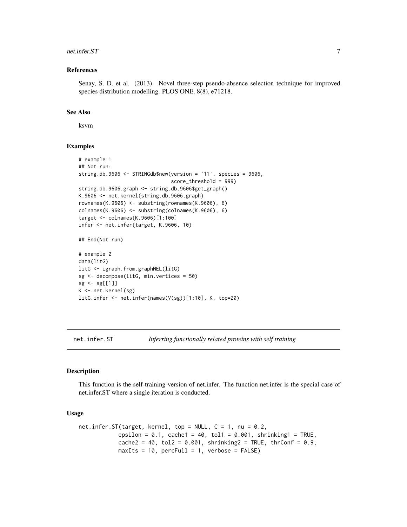#### <span id="page-6-0"></span>net.infer.ST 7

#### References

Senay, S. D. et al. (2013). Novel three-step pseudo-absence selection technique for improved species distribution modelling. PLOS ONE. 8(8), e71218.

#### See Also

ksvm

#### Examples

```
# example 1
## Not run:
string.db.9606 <- STRINGdb$new(version = '11', species = 9606,
                               score_threshold = 999)
string.db.9606.graph <- string.db.9606$get_graph()
K.9606 <- net.kernel(string.db.9606.graph)
rownames(K.9606) <- substring(rownames(K.9606), 6)
collnames(K.9606) \leftarrow substring(colnames(K.9606), 6)target <- colnames(K.9606)[1:100]
infer <- net.infer(target, K.9606, 10)
## End(Not run)
# example 2
data(litG)
litG <- igraph.from.graphNEL(litG)
sg <- decompose(litG, min.vertices = 50)
sg < - sg[1]]K <- net.kernel(sg)
litG.infer <- net.infer(names(V(sg))[1:10], K, top=20)
```
net.infer.ST *Inferring functionally related proteins with self training*

#### Description

This function is the self-training version of net.infer. The function net.infer is the special case of net.infer.ST where a single iteration is conducted.

#### Usage

```
net.infer.ST(target, kernel, top = NULL, C = 1, nu = 0.2,
            epsilon = 0.1, cache1 = 40, tol1 = 0.001, shrinking1 = TRUE,
            cache2 = 40, tol2 = 0.001, shrinking2 = TRUE, thrConf = 0.9,
            maxIts = 10, percFull = 1, verbose = FALSE)
```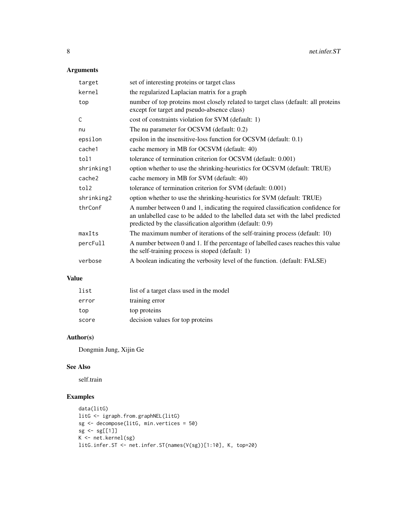#### Arguments

| target     | set of interesting proteins or target class                                                                                                                                                                                     |
|------------|---------------------------------------------------------------------------------------------------------------------------------------------------------------------------------------------------------------------------------|
| kernel     | the regularized Laplacian matrix for a graph                                                                                                                                                                                    |
| top        | number of top proteins most closely related to target class (default: all proteins<br>except for target and pseudo-absence class)                                                                                               |
| C          | cost of constraints violation for SVM (default: 1)                                                                                                                                                                              |
| nu         | The nu parameter for OCSVM (default: 0.2)                                                                                                                                                                                       |
| epsilon    | epsilon in the insensitive-loss function for OCSVM (default: 0.1)                                                                                                                                                               |
| cache1     | cache memory in MB for OCSVM (default: 40)                                                                                                                                                                                      |
| tol1       | tolerance of termination criterion for OCSVM (default: 0.001)                                                                                                                                                                   |
| shrinking1 | option whether to use the shrinking-heuristics for OCSVM (default: TRUE)                                                                                                                                                        |
| cache2     | cache memory in MB for SVM (default: 40)                                                                                                                                                                                        |
| tol2       | tolerance of termination criterion for SVM (default: 0.001)                                                                                                                                                                     |
| shrinking2 | option whether to use the shrinking-heuristics for SVM (default: TRUE)                                                                                                                                                          |
| thrConf    | A number between 0 and 1, indicating the required classification confidence for<br>an unlabelled case to be added to the labelled data set with the label predicted<br>predicted by the classification algorithm (default: 0.9) |
| maxIts     | The maximum number of iterations of the self-training process (default: 10)                                                                                                                                                     |
| percFull   | A number between 0 and 1. If the percentage of labelled cases reaches this value<br>the self-training process is stoped (default: 1)                                                                                            |
| verbose    | A boolean indicating the verbosity level of the function. (default: FALSE)                                                                                                                                                      |

#### Value

| list  | list of a target class used in the model |
|-------|------------------------------------------|
| error | training error                           |
| top   | top proteins                             |
| score | decision values for top proteins         |

#### Author(s)

Dongmin Jung, Xijin Ge

#### See Also

self.train

```
data(litG)
litG <- igraph.from.graphNEL(litG)
sg <- decompose(litG, min.vertices = 50)
sg < - sg[1]]K <- net.kernel(sg)
litG.infer.ST <- net.infer.ST(names(V(sg))[1:10], K, top=20)
```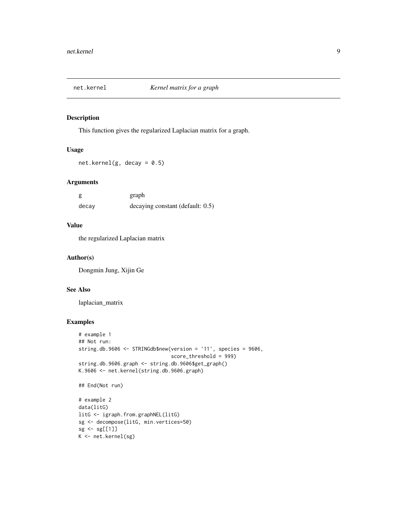<span id="page-8-0"></span>

This function gives the regularized Laplacian matrix for a graph.

#### Usage

net.kernel(g, decay =  $0.5$ )

#### Arguments

|       | graph                            |
|-------|----------------------------------|
| decay | decaying constant (default: 0.5) |

#### Value

the regularized Laplacian matrix

#### Author(s)

Dongmin Jung, Xijin Ge

#### See Also

laplacian\_matrix

```
# example 1
## Not run:
string.db.9606 <- STRINGdb$new(version = '11', species = 9606,
                               score_threshold = 999)
string.db.9606.graph <- string.db.9606$get_graph()
K.9606 <- net.kernel(string.db.9606.graph)
## End(Not run)
# example 2
data(litG)
litG <- igraph.from.graphNEL(litG)
sg <- decompose(litG, min.vertices=50)
sg < - sg[1]]K <- net.kernel(sg)
```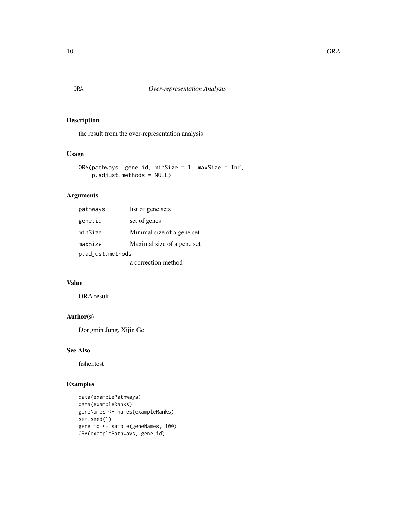the result from the over-representation analysis

#### Usage

```
ORA(pathways, gene.id, minSize = 1, maxSize = Inf,
   p.adjust.methods = NULL)
```
#### Arguments

| pathways         | list of gene sets          |  |
|------------------|----------------------------|--|
| gene.id          | set of genes               |  |
| minSize          | Minimal size of a gene set |  |
| maxSize          | Maximal size of a gene set |  |
| p.adjust.methods |                            |  |
|                  | a correction method        |  |

#### Value

ORA result

#### Author(s)

Dongmin Jung, Xijin Ge

#### See Also

fisher.test

```
data(examplePathways)
data(exampleRanks)
geneNames <- names(exampleRanks)
set.seed(1)
gene.id <- sample(geneNames, 100)
ORA(examplePathways, gene.id)
```
<span id="page-9-0"></span>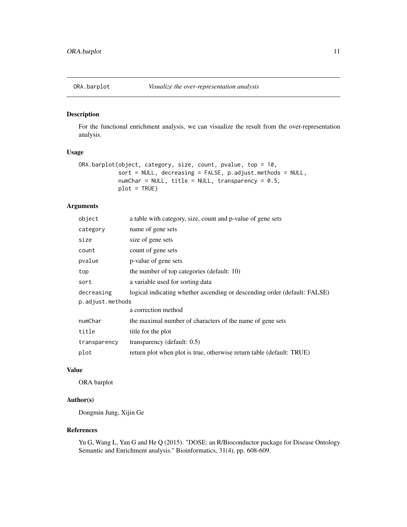<span id="page-10-0"></span>

For the functional enrichment analysis, we can visualize the result from the over-representation analysis.

#### Usage

```
ORA.barplot(object, category, size, count, pvalue, top = 10,
            sort = NULL, decreasing = FALSE, p.adjust.methods = NULL,
            numChar = NULL, title = NULL, transparency = 0.5,
            plot = TRUE)
```
#### Arguments

| object           | a table with category, size, count and p-value of gene sets               |
|------------------|---------------------------------------------------------------------------|
| category         | name of gene sets                                                         |
| size             | size of gene sets                                                         |
| count            | count of gene sets                                                        |
| pvalue           | p-value of gene sets                                                      |
| top              | the number of top categories (default: 10)                                |
| sort             | a variable used for sorting data                                          |
| decreasing       | logical indicating whether ascending or descending order (default: FALSE) |
| p.adjust.methods |                                                                           |
|                  | a correction method                                                       |
| numChar          | the maximal number of characters of the name of gene sets                 |
| title            | title for the plot                                                        |
| transparency     | transparency (default: 0.5)                                               |
| plot             | return plot when plot is true, otherwise return table (default: TRUE)     |
|                  |                                                                           |

#### Value

ORA barplot

#### Author(s)

Dongmin Jung, Xijin Ge

#### References

Yu G, Wang L, Yan G and He Q (2015). "DOSE: an R/Bioconductor package for Disease Ontology Semantic and Enrichment analysis." Bioinformatics, 31(4), pp. 608-609.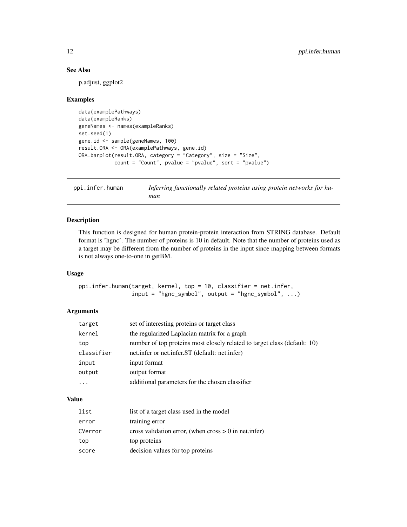#### See Also

p.adjust, ggplot2

#### Examples

```
data(examplePathways)
data(exampleRanks)
geneNames <- names(exampleRanks)
set.seed(1)
gene.id <- sample(geneNames, 100)
result.ORA <- ORA(examplePathways, gene.id)
ORA.barplot(result.ORA, category = "Category", size = "Size",
            count = "Count", pvalue = "pvalue", sort = "pvalue")
```
ppi.infer.human *Inferring functionally related proteins using protein networks for human*

#### Description

This function is designed for human protein-protein interaction from STRING database. Default format is 'hgnc'. The number of proteins is 10 in default. Note that the number of proteins used as a target may be different from the number of proteins in the input since mapping between formats is not always one-to-one in getBM.

#### Usage

ppi.infer.human(target, kernel, top = 10, classifier = net.infer,  $input = "hgnc_symbol", output = "hgnc_symbol", ...)$ 

#### Arguments

| target     | set of interesting proteins or target class                               |
|------------|---------------------------------------------------------------------------|
| kernel     | the regularized Laplacian matrix for a graph                              |
| top        | number of top proteins most closely related to target class (default: 10) |
| classifier | net.infer or net.infer.ST (default: net.infer)                            |
| input      | input format                                                              |
| output     | output format                                                             |
| $\ddotsc$  | additional parameters for the chosen classifier                           |

#### Value

| list    | list of a target class used in the model              |
|---------|-------------------------------------------------------|
| error   | training error                                        |
| CVerror | cross validation error, (when $\csc 0$ in net. infer) |
| top     | top proteins                                          |
| score   | decision values for top proteins                      |

<span id="page-11-0"></span>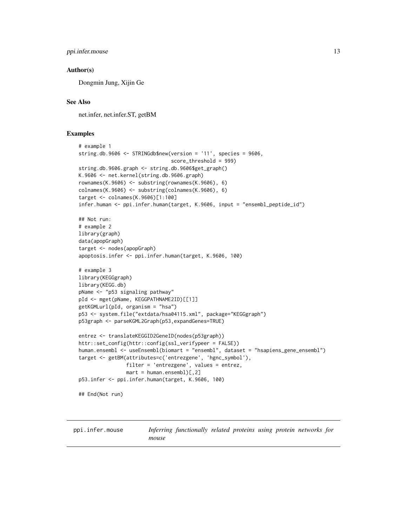```
ppi.infer.mouse 13
```
#### Author(s)

Dongmin Jung, Xijin Ge

#### See Also

net.infer, net.infer.ST, getBM

#### Examples

```
# example 1
string.db.9606 <- STRINGdb$new(version = '11', species = 9606,
                               score_threshold = 999)
string.db.9606.graph <- string.db.9606$get_graph()
K.9606 <- net.kernel(string.db.9606.graph)
rownames(K.9606) <- substring(rownames(K.9606), 6)
colnames(K.9606) <- substring(colnames(K.9606), 6)
target <- colnames(K.9606)[1:100]
infer.human <- ppi.infer.human(target, K.9606, input = "ensembl_peptide_id")
## Not run:
# example 2
library(graph)
data(apopGraph)
target <- nodes(apopGraph)
apoptosis.infer <- ppi.infer.human(target, K.9606, 100)
# example 3
library(KEGGgraph)
library(KEGG.db)
pName <- "p53 signaling pathway"
pId <- mget(pName, KEGGPATHNAME2ID)[[1]]
getKGMLurl(pId, organism = "hsa")
p53 <- system.file("extdata/hsa04115.xml", package="KEGGgraph")
p53graph <- parseKGML2Graph(p53,expandGenes=TRUE)
entrez <- translateKEGGID2GeneID(nodes(p53graph))
httr::set_config(httr::config(ssl_verifypeer = FALSE))
human.ensembl <- useEnsembl(biomart = "ensembl", dataset = "hsapiens_gene_ensembl")
target <- getBM(attributes=c('entrezgene', 'hgnc_symbol'),
                filter = 'entrezgene', values = entrez,
                mart = human.ensemble1)[.2]p53.infer <- ppi.infer.human(target, K.9606, 100)
## End(Not run)
```
ppi.infer.mouse *Inferring functionally related proteins using protein networks for mouse*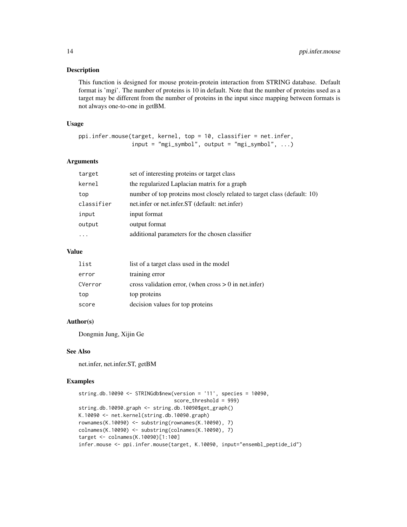This function is designed for mouse protein-protein interaction from STRING database. Default format is 'mgi'. The number of proteins is 10 in default. Note that the number of proteins used as a target may be different from the number of proteins in the input since mapping between formats is not always one-to-one in getBM.

#### Usage

```
ppi.infer.mouse(target, kernel, top = 10, classifier = net.infer,
                input = "mgi_symbol", output = "mgi_symbol", ...)
```
#### Arguments

| target     | set of interesting proteins or target class                               |
|------------|---------------------------------------------------------------------------|
| kernel     | the regularized Laplacian matrix for a graph                              |
| top        | number of top proteins most closely related to target class (default: 10) |
| classifier | net.infer or net.infer.ST (default: net.infer)                            |
| input      | input format                                                              |
| output     | output format                                                             |
| .          | additional parameters for the chosen classifier                           |
|            |                                                                           |

#### Value

| list    | list of a target class used in the model              |
|---------|-------------------------------------------------------|
| error   | training error                                        |
| CVerror | cross validation error, (when $\csc 0$ in net. infer) |
| top     | top proteins                                          |
| score   | decision values for top proteins                      |

#### Author(s)

Dongmin Jung, Xijin Ge

#### See Also

net.infer, net.infer.ST, getBM

```
string.db.10090 <- STRINGdb$new(version = '11', species = 10090,
                                score_threshold = 999)
string.db.10090.graph <- string.db.10090$get_graph()
K.10090 <- net.kernel(string.db.10090.graph)
rownames(K.10090) <- substring(rownames(K.10090), 7)
colnames(K.10090) <- substring(colnames(K.10090), 7)
target <- colnames(K.10090)[1:100]
infer.mouse <- ppi.infer.mouse(target, K.10090, input="ensembl_peptide_id")
```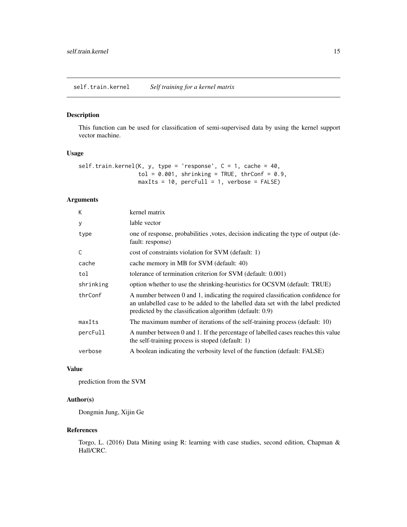<span id="page-14-0"></span>This function can be used for classification of semi-supervised data by using the kernel support vector machine.

#### Usage

```
self.train.kernel(K, y, type = 'response', C = 1, cache = 40,tol = 0.001, shrinking = TRUE, thrConf = 0.9,
                 maxIts = 10, percFull = 1, verbose = FALSE)
```
#### Arguments

| K         | kernel matrix                                                                                                                                                                                                                   |
|-----------|---------------------------------------------------------------------------------------------------------------------------------------------------------------------------------------------------------------------------------|
| У         | lable vector                                                                                                                                                                                                                    |
| type      | one of response, probabilities, votes, decision indicating the type of output (de-<br>fault: response)                                                                                                                          |
| C         | cost of constraints violation for SVM (default: 1)                                                                                                                                                                              |
| cache     | cache memory in MB for SVM (default: 40)                                                                                                                                                                                        |
| tol       | tolerance of termination criterion for SVM (default: 0.001)                                                                                                                                                                     |
| shrinking | option whether to use the shrinking-heuristics for OCSVM (default: TRUE)                                                                                                                                                        |
| thrConf   | A number between 0 and 1, indicating the required classification confidence for<br>an unlabelled case to be added to the labelled data set with the label predicted<br>predicted by the classification algorithm (default: 0.9) |
| maxIts    | The maximum number of iterations of the self-training process (default: 10)                                                                                                                                                     |
| percFull  | A number between 0 and 1. If the percentage of labelled cases reaches this value<br>the self-training process is stoped (default: 1)                                                                                            |
| verbose   | A boolean indicating the verbosity level of the function (default: FALSE)                                                                                                                                                       |

#### Value

prediction from the SVM

#### Author(s)

Dongmin Jung, Xijin Ge

#### References

Torgo, L. (2016) Data Mining using R: learning with case studies, second edition, Chapman & Hall/CRC.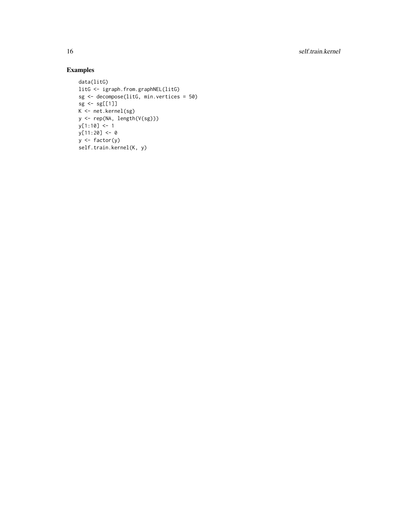16 self.train.kernel

```
data(litG)
litG <- igraph.from.graphNEL(litG)
sg <- decompose(litG, min.vertices = 50)
sg <- sg[[1]]
K <- net.kernel(sg)
y <- rep(NA, length(V(sg)))
y[1:10] <- 1
y[11:20] <- 0
y <- factor(y)
self.train.kernel(K, y)
```